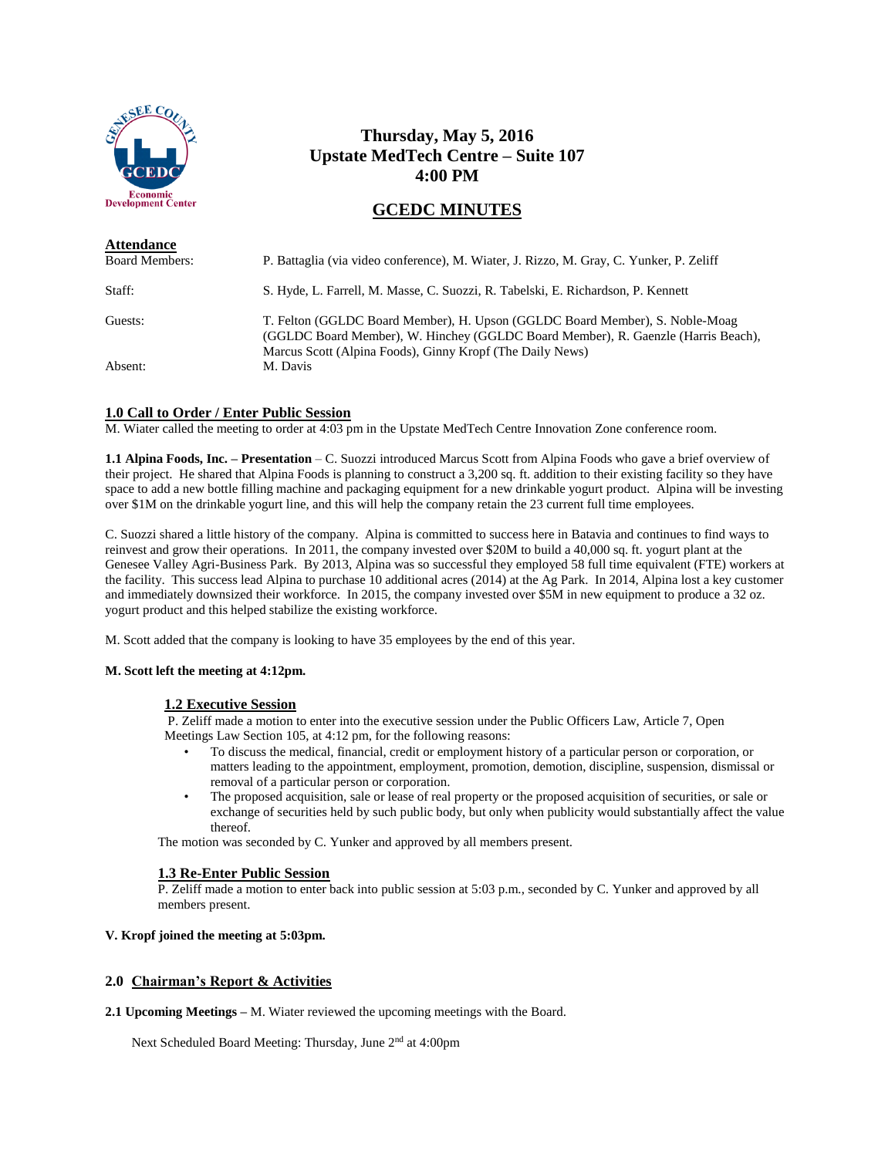

# **Thursday, May 5, 2016 Upstate MedTech Centre – Suite 107 4:00 PM**

# **GCEDC MINUTES**

| <b>Attendance</b>     |                                                                                                                                                                                                                                |
|-----------------------|--------------------------------------------------------------------------------------------------------------------------------------------------------------------------------------------------------------------------------|
| <b>Board Members:</b> | P. Battaglia (via video conference), M. Wiater, J. Rizzo, M. Gray, C. Yunker, P. Zeliff                                                                                                                                        |
| Staff:                | S. Hyde, L. Farrell, M. Masse, C. Suozzi, R. Tabelski, E. Richardson, P. Kennett                                                                                                                                               |
| Guests:               | T. Felton (GGLDC Board Member), H. Upson (GGLDC Board Member), S. Noble-Moag<br>(GGLDC Board Member), W. Hinchey (GGLDC Board Member), R. Gaenzle (Harris Beach),<br>Marcus Scott (Alpina Foods), Ginny Kropf (The Daily News) |
| Absent:               | M. Davis                                                                                                                                                                                                                       |

## **1.0 Call to Order / Enter Public Session**

M. Wiater called the meeting to order at 4:03 pm in the Upstate MedTech Centre Innovation Zone conference room.

**1.1 Alpina Foods, Inc. – Presentation** – C. Suozzi introduced Marcus Scott from Alpina Foods who gave a brief overview of their project. He shared that Alpina Foods is planning to construct a 3,200 sq. ft. addition to their existing facility so they have space to add a new bottle filling machine and packaging equipment for a new drinkable yogurt product. Alpina will be investing over \$1M on the drinkable yogurt line, and this will help the company retain the 23 current full time employees.

C. Suozzi shared a little history of the company. Alpina is committed to success here in Batavia and continues to find ways to reinvest and grow their operations. In 2011, the company invested over \$20M to build a 40,000 sq. ft. yogurt plant at the Genesee Valley Agri-Business Park. By 2013, Alpina was so successful they employed 58 full time equivalent (FTE) workers at the facility. This success lead Alpina to purchase 10 additional acres (2014) at the Ag Park. In 2014, Alpina lost a key customer and immediately downsized their workforce. In 2015, the company invested over \$5M in new equipment to produce a 32 oz. yogurt product and this helped stabilize the existing workforce.

M. Scott added that the company is looking to have 35 employees by the end of this year.

#### **M. Scott left the meeting at 4:12pm.**

#### **1.2 Executive Session**

P. Zeliff made a motion to enter into the executive session under the Public Officers Law, Article 7, Open Meetings Law Section 105, at 4:12 pm, for the following reasons:

- To discuss the medical, financial, credit or employment history of a particular person or corporation, or matters leading to the appointment, employment, promotion, demotion, discipline, suspension, dismissal or removal of a particular person or corporation.
- The proposed acquisition, sale or lease of real property or the proposed acquisition of securities, or sale or exchange of securities held by such public body, but only when publicity would substantially affect the value thereof.

The motion was seconded by C. Yunker and approved by all members present.

#### **1.3 Re-Enter Public Session**

P. Zeliff made a motion to enter back into public session at 5:03 p.m., seconded by C. Yunker and approved by all members present.

#### **V. Kropf joined the meeting at 5:03pm.**

## **2.0 Chairman's Report & Activities**

**2.1 Upcoming Meetings –** M. Wiater reviewed the upcoming meetings with the Board.

Next Scheduled Board Meeting: Thursday, June 2<sup>nd</sup> at 4:00pm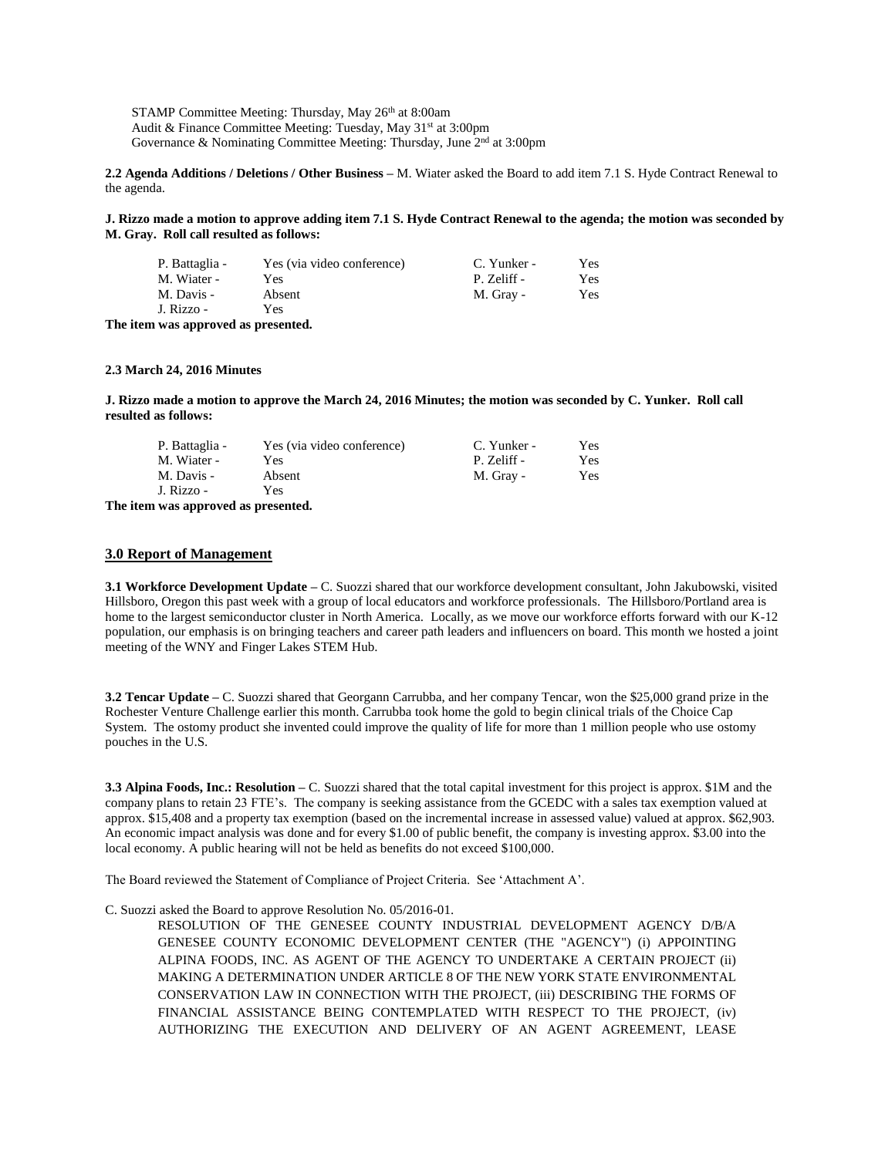STAMP Committee Meeting: Thursday, May 26<sup>th</sup> at 8:00am Audit & Finance Committee Meeting: Tuesday, May 31<sup>st</sup> at 3:00pm Governance & Nominating Committee Meeting: Thursday, June  $2<sup>nd</sup>$  at 3:00pm

**2.2 Agenda Additions / Deletions / Other Business –** M. Wiater asked the Board to add item 7.1 S. Hyde Contract Renewal to the agenda.

**J. Rizzo made a motion to approve adding item 7.1 S. Hyde Contract Renewal to the agenda; the motion was seconded by M. Gray. Roll call resulted as follows:**

| P. Battaglia - | Yes (via video conference) | C. Yunker - | Yes |
|----------------|----------------------------|-------------|-----|
| M. Wiater -    | Yes                        | P. Zeliff - | Yes |
| M. Davis -     | Absent                     | M. Gray -   | Yes |
| J. Rizzo -     | Yes                        |             |     |

**The item was approved as presented.**

#### **2.3 March 24, 2016 Minutes**

**J. Rizzo made a motion to approve the March 24, 2016 Minutes; the motion was seconded by C. Yunker. Roll call resulted as follows:**

| P. Battaglia - | Yes (via video conference) | C. Yunker - | Yes |
|----------------|----------------------------|-------------|-----|
| M. Wiater -    | Yes                        | P. Zeliff - | Yes |
| M. Davis -     | Absent                     | M. Gray -   | Yes |
| J. Rizzo -     | Yes                        |             |     |

**The item was approved as presented.**

#### **3.0 Report of Management**

**3.1 Workforce Development Update –** C. Suozzi shared that our workforce development consultant, John Jakubowski, visited Hillsboro, Oregon this past week with a group of local educators and workforce professionals. The Hillsboro/Portland area is home to the largest semiconductor cluster in North America. Locally, as we move our workforce efforts forward with our K-12 population, our emphasis is on bringing teachers and career path leaders and influencers on board. This month we hosted a joint meeting of the WNY and Finger Lakes STEM Hub.

**3.2 Tencar Update –** C. Suozzi shared that Georgann Carrubba, and her company Tencar, won the \$25,000 grand prize in the Rochester Venture Challenge earlier this month. Carrubba took home the gold to begin clinical trials of the Choice Cap System. The ostomy product she invented could improve the quality of life for more than 1 million people who use ostomy pouches in the U.S.

**3.3 Alpina Foods, Inc.: Resolution –** C. Suozzi shared that the total capital investment for this project is approx. \$1M and the company plans to retain 23 FTE's. The company is seeking assistance from the GCEDC with a sales tax exemption valued at approx. \$15,408 and a property tax exemption (based on the incremental increase in assessed value) valued at approx. \$62,903. An economic impact analysis was done and for every \$1.00 of public benefit, the company is investing approx. \$3.00 into the local economy. A public hearing will not be held as benefits do not exceed \$100,000.

The Board reviewed the Statement of Compliance of Project Criteria. See 'Attachment A'.

#### C. Suozzi asked the Board to approve Resolution No. 05/2016-01.

RESOLUTION OF THE GENESEE COUNTY INDUSTRIAL DEVELOPMENT AGENCY D/B/A GENESEE COUNTY ECONOMIC DEVELOPMENT CENTER (THE "AGENCY") (i) APPOINTING ALPINA FOODS, INC. AS AGENT OF THE AGENCY TO UNDERTAKE A CERTAIN PROJECT (ii) MAKING A DETERMINATION UNDER ARTICLE 8 OF THE NEW YORK STATE ENVIRONMENTAL CONSERVATION LAW IN CONNECTION WITH THE PROJECT, (iii) DESCRIBING THE FORMS OF FINANCIAL ASSISTANCE BEING CONTEMPLATED WITH RESPECT TO THE PROJECT, (iv) AUTHORIZING THE EXECUTION AND DELIVERY OF AN AGENT AGREEMENT, LEASE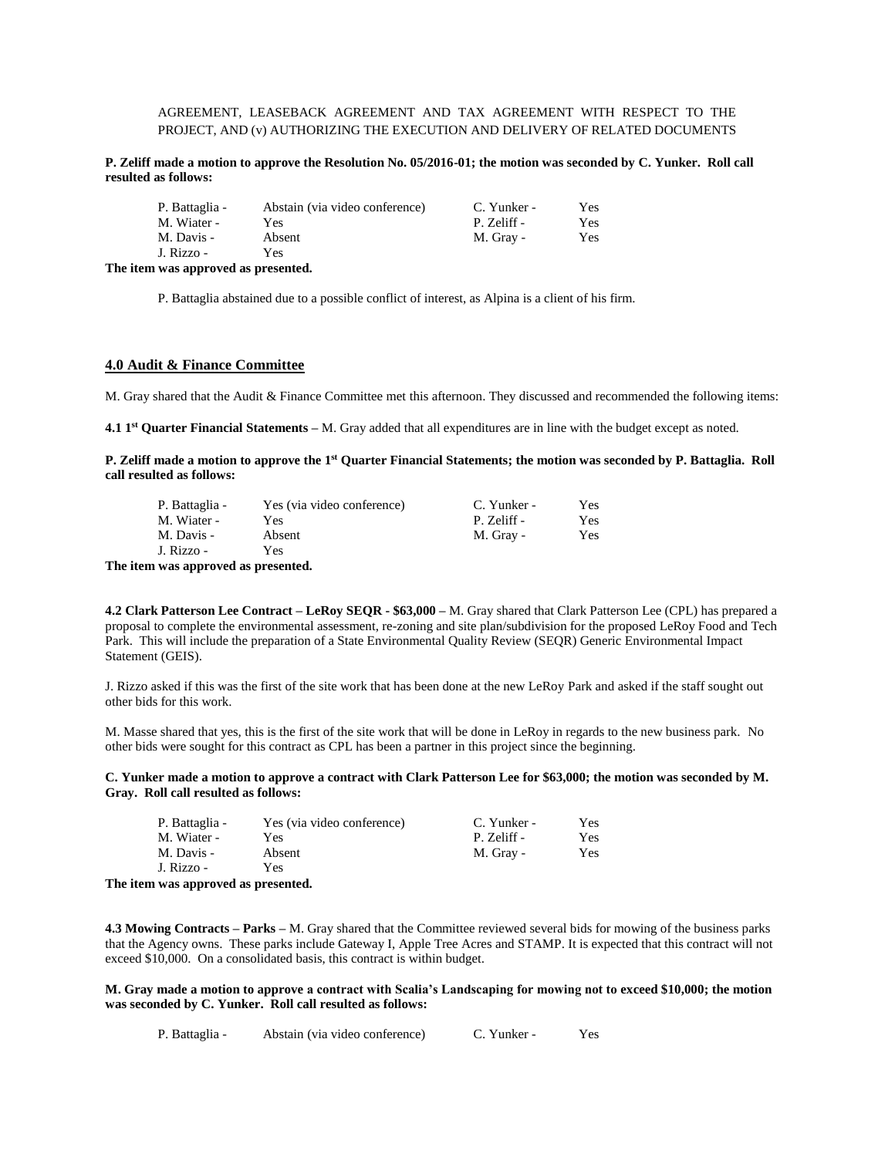## AGREEMENT, LEASEBACK AGREEMENT AND TAX AGREEMENT WITH RESPECT TO THE PROJECT, AND (v) AUTHORIZING THE EXECUTION AND DELIVERY OF RELATED DOCUMENTS

**P. Zeliff made a motion to approve the Resolution No. 05/2016-01; the motion was seconded by C. Yunker. Roll call resulted as follows:**

| P. Battaglia -<br>M. Wiater - | Abstain (via video conference)<br>Yes | C. Yunker -<br>P. Zeliff - | Yes<br>Yes |
|-------------------------------|---------------------------------------|----------------------------|------------|
| M. Davis -                    | Absent                                | M. Gray -                  | Yes        |
| J. Rizzo -                    | Yes                                   |                            |            |
|                               |                                       |                            |            |

**The item was approved as presented.**

P. Battaglia abstained due to a possible conflict of interest, as Alpina is a client of his firm.

### **4.0 Audit & Finance Committee**

M. Gray shared that the Audit & Finance Committee met this afternoon. They discussed and recommended the following items:

**4.1 1 st Quarter Financial Statements –** M. Gray added that all expenditures are in line with the budget except as noted.

**P. Zeliff made a motion to approve the 1 st Quarter Financial Statements; the motion was seconded by P. Battaglia. Roll call resulted as follows:**

| P. Battaglia - | Yes (via video conference) | C. Yunker - | Yes- |
|----------------|----------------------------|-------------|------|
| M. Wiater -    | Yes                        | P. Zeliff - | Yes  |
| M. Davis -     | Absent                     | M. Gray -   | Yes- |
| J. Rizzo -     | Yes                        |             |      |

**The item was approved as presented.**

**4.2 Clark Patterson Lee Contract – LeRoy SEQR - \$63,000 –** M. Gray shared that Clark Patterson Lee (CPL) has prepared a proposal to complete the environmental assessment, re-zoning and site plan/subdivision for the proposed LeRoy Food and Tech Park. This will include the preparation of a State Environmental Quality Review (SEQR) Generic Environmental Impact Statement (GEIS).

J. Rizzo asked if this was the first of the site work that has been done at the new LeRoy Park and asked if the staff sought out other bids for this work.

M. Masse shared that yes, this is the first of the site work that will be done in LeRoy in regards to the new business park. No other bids were sought for this contract as CPL has been a partner in this project since the beginning.

#### **C. Yunker made a motion to approve a contract with Clark Patterson Lee for \$63,000; the motion was seconded by M. Gray. Roll call resulted as follows:**

| P. Battaglia - | Yes (via video conference) | C. Yunker - | Yes |
|----------------|----------------------------|-------------|-----|
| M. Wiater -    | Yes                        | P. Zeliff - | Yes |
| M. Davis -     | Absent                     | M. Gray -   | Yes |
| J. Rizzo -     | Yes                        |             |     |

**The item was approved as presented.**

**4.3 Mowing Contracts – Parks –** M. Gray shared that the Committee reviewed several bids for mowing of the business parks that the Agency owns. These parks include Gateway I, Apple Tree Acres and STAMP. It is expected that this contract will not exceed \$10,000. On a consolidated basis, this contract is within budget.

#### **M. Gray made a motion to approve a contract with Scalia's Landscaping for mowing not to exceed \$10,000; the motion was seconded by C. Yunker. Roll call resulted as follows:**

P. Battaglia - Abstain (via video conference) C. Yunker - Yes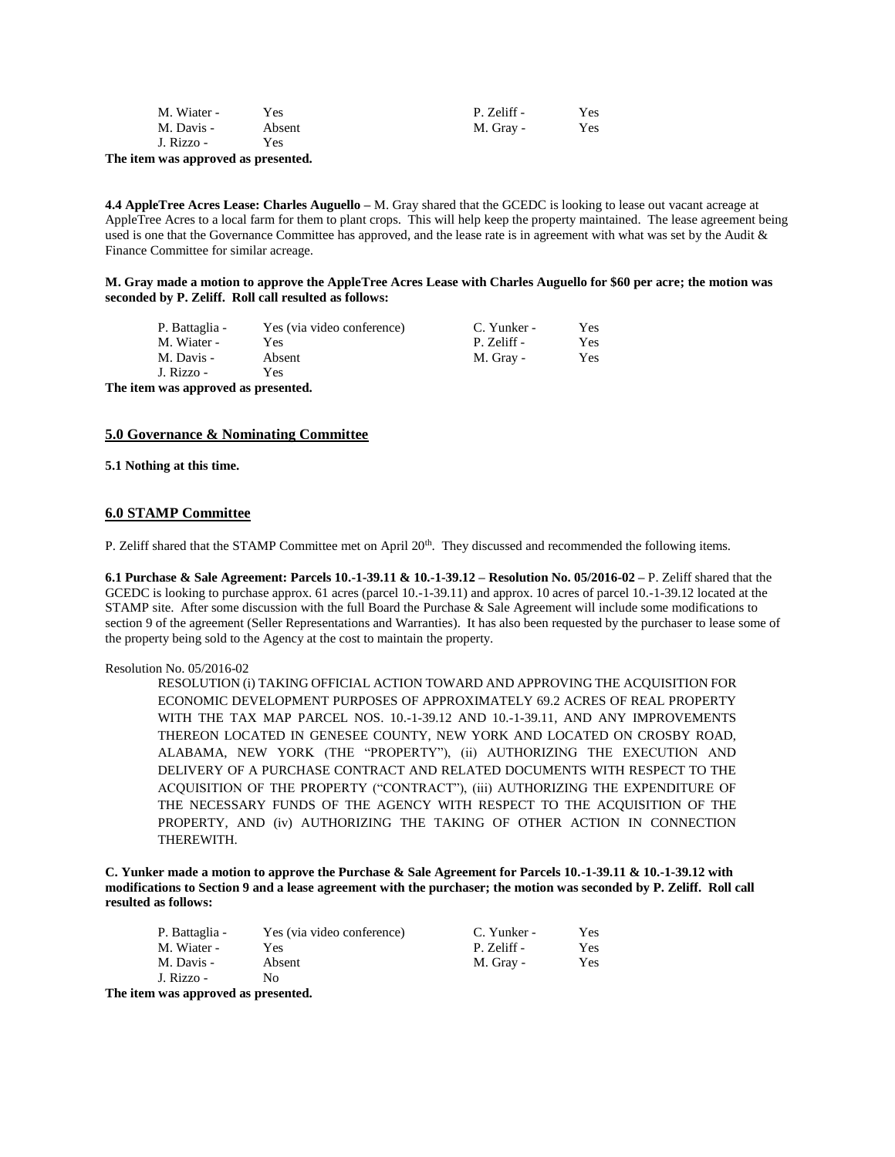| M. Wiater - | Yes    | P. Zeliff - | Yes |
|-------------|--------|-------------|-----|
| M. Davis -  | Absent | M. Gray -   | Yes |
| J. Rizzo -  | Yes    |             |     |

**The item was approved as presented.**

**4.4 AppleTree Acres Lease: Charles Auguello –** M. Gray shared that the GCEDC is looking to lease out vacant acreage at AppleTree Acres to a local farm for them to plant crops. This will help keep the property maintained. The lease agreement being used is one that the Governance Committee has approved, and the lease rate is in agreement with what was set by the Audit & Finance Committee for similar acreage.

**M. Gray made a motion to approve the AppleTree Acres Lease with Charles Auguello for \$60 per acre; the motion was seconded by P. Zeliff. Roll call resulted as follows:**

| P. Battaglia -                         | Yes (via video conference) | C. Yunker - | Yes |
|----------------------------------------|----------------------------|-------------|-----|
| M. Wiater -                            | Yes                        | P. Zeliff - | Yes |
| M. Davis -                             | Absent                     | M. Gray -   | Yes |
| J. Rizzo -                             | Yes                        |             |     |
| The field case and annual as measuried |                            |             |     |

**The item was approved as presented.**

### **5.0 Governance & Nominating Committee**

**5.1 Nothing at this time.**

### **6.0 STAMP Committee**

P. Zeliff shared that the STAMP Committee met on April 20<sup>th</sup>. They discussed and recommended the following items.

**6.1 Purchase & Sale Agreement: Parcels 10.-1-39.11 & 10.-1-39.12 – Resolution No. 05/2016-02 –** P. Zeliff shared that the GCEDC is looking to purchase approx. 61 acres (parcel 10.-1-39.11) and approx. 10 acres of parcel 10.-1-39.12 located at the STAMP site. After some discussion with the full Board the Purchase & Sale Agreement will include some modifications to section 9 of the agreement (Seller Representations and Warranties). It has also been requested by the purchaser to lease some of the property being sold to the Agency at the cost to maintain the property.

#### Resolution No. 05/2016-02

RESOLUTION (i) TAKING OFFICIAL ACTION TOWARD AND APPROVING THE ACQUISITION FOR ECONOMIC DEVELOPMENT PURPOSES OF APPROXIMATELY 69.2 ACRES OF REAL PROPERTY WITH THE TAX MAP PARCEL NOS. 10.-1-39.12 AND 10.-1-39.11, AND ANY IMPROVEMENTS THEREON LOCATED IN GENESEE COUNTY, NEW YORK AND LOCATED ON CROSBY ROAD, ALABAMA, NEW YORK (THE "PROPERTY"), (ii) AUTHORIZING THE EXECUTION AND DELIVERY OF A PURCHASE CONTRACT AND RELATED DOCUMENTS WITH RESPECT TO THE ACQUISITION OF THE PROPERTY ("CONTRACT"), (iii) AUTHORIZING THE EXPENDITURE OF THE NECESSARY FUNDS OF THE AGENCY WITH RESPECT TO THE ACQUISITION OF THE PROPERTY, AND (iv) AUTHORIZING THE TAKING OF OTHER ACTION IN CONNECTION THEREWITH.

**C. Yunker made a motion to approve the Purchase & Sale Agreement for Parcels 10.-1-39.11 & 10.-1-39.12 with modifications to Section 9 and a lease agreement with the purchaser; the motion was seconded by P. Zeliff. Roll call resulted as follows:**

| P. Battaglia - | Yes (via video conference) | C. Yunker - | Yes |
|----------------|----------------------------|-------------|-----|
| M. Wiater -    | Yes                        | P. Zeliff - | Yes |
| M. Davis -     | Absent                     | M. Gray -   | Yes |
| J. Rizzo -     | No                         |             |     |

**The item was approved as presented.**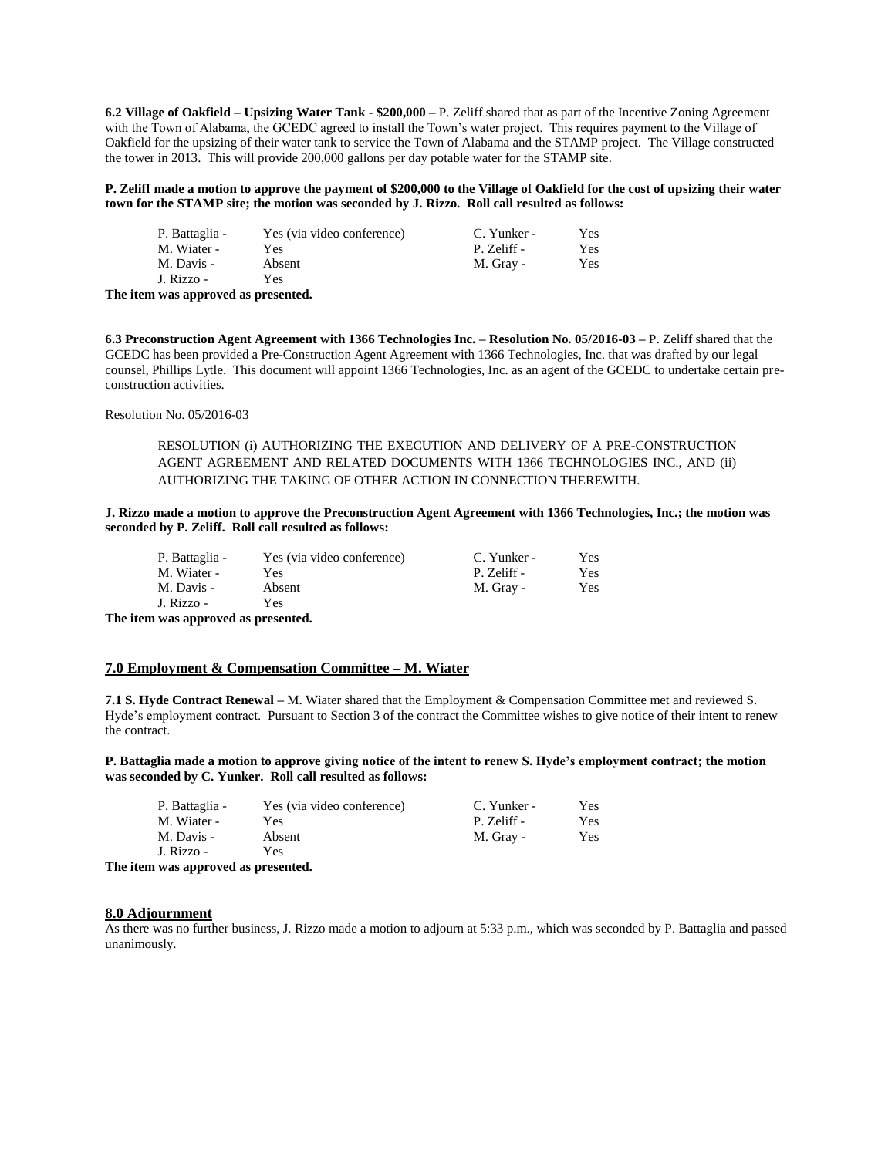**6.2 Village of Oakfield – Upsizing Water Tank - \$200,000 –** P. Zeliff shared that as part of the Incentive Zoning Agreement with the Town of Alabama, the GCEDC agreed to install the Town's water project. This requires payment to the Village of Oakfield for the upsizing of their water tank to service the Town of Alabama and the STAMP project. The Village constructed the tower in 2013. This will provide 200,000 gallons per day potable water for the STAMP site.

**P. Zeliff made a motion to approve the payment of \$200,000 to the Village of Oakfield for the cost of upsizing their water town for the STAMP site; the motion was seconded by J. Rizzo. Roll call resulted as follows:**

| P. Battaglia -                      | Yes (via video conference) | C. Yunker - | Yes |
|-------------------------------------|----------------------------|-------------|-----|
| M. Wiater -                         | Yes                        | P. Zeliff - | Yes |
| M. Davis -                          | Absent                     | M. Gray -   | Yes |
| J. Rizzo -                          | Yes                        |             |     |
| The item was approved as presented. |                            |             |     |

**6.3 Preconstruction Agent Agreement with 1366 Technologies Inc. – Resolution No. 05/2016-03 –** P. Zeliff shared that the GCEDC has been provided a Pre-Construction Agent Agreement with 1366 Technologies, Inc. that was drafted by our legal counsel, Phillips Lytle. This document will appoint 1366 Technologies, Inc. as an agent of the GCEDC to undertake certain preconstruction activities.

Resolution No. 05/2016-03

RESOLUTION (i) AUTHORIZING THE EXECUTION AND DELIVERY OF A PRE-CONSTRUCTION AGENT AGREEMENT AND RELATED DOCUMENTS WITH 1366 TECHNOLOGIES INC., AND (ii) AUTHORIZING THE TAKING OF OTHER ACTION IN CONNECTION THEREWITH.

#### **J. Rizzo made a motion to approve the Preconstruction Agent Agreement with 1366 Technologies, Inc.; the motion was seconded by P. Zeliff. Roll call resulted as follows:**

| P. Battaglia - | Yes (via video conference) | C. Yunker - | Yes. |
|----------------|----------------------------|-------------|------|
| M. Wiater -    | <b>Yes</b>                 | P. Zeliff - | Yes  |
| M. Davis -     | Absent                     | M. Gray -   | Yes  |
| J. Rizzo -     | Yes                        |             |      |

**The item was approved as presented.**

## **7.0 Employment & Compensation Committee – M. Wiater**

**7.1 S. Hyde Contract Renewal –** M. Wiater shared that the Employment & Compensation Committee met and reviewed S. Hyde's employment contract. Pursuant to Section 3 of the contract the Committee wishes to give notice of their intent to renew the contract.

**P. Battaglia made a motion to approve giving notice of the intent to renew S. Hyde's employment contract; the motion was seconded by C. Yunker. Roll call resulted as follows:**

| P. Battaglia - | Yes (via video conference) | C. Yunker - | Yes |
|----------------|----------------------------|-------------|-----|
| M. Wiater -    | Yes                        | P. Zeliff - | Yes |
| M. Davis -     | Absent                     | M. Gray -   | Yes |
| J. Rizzo -     | Yes                        |             |     |

**The item was approved as presented.**

#### **8.0 Adjournment**

As there was no further business, J. Rizzo made a motion to adjourn at 5:33 p.m., which was seconded by P. Battaglia and passed unanimously.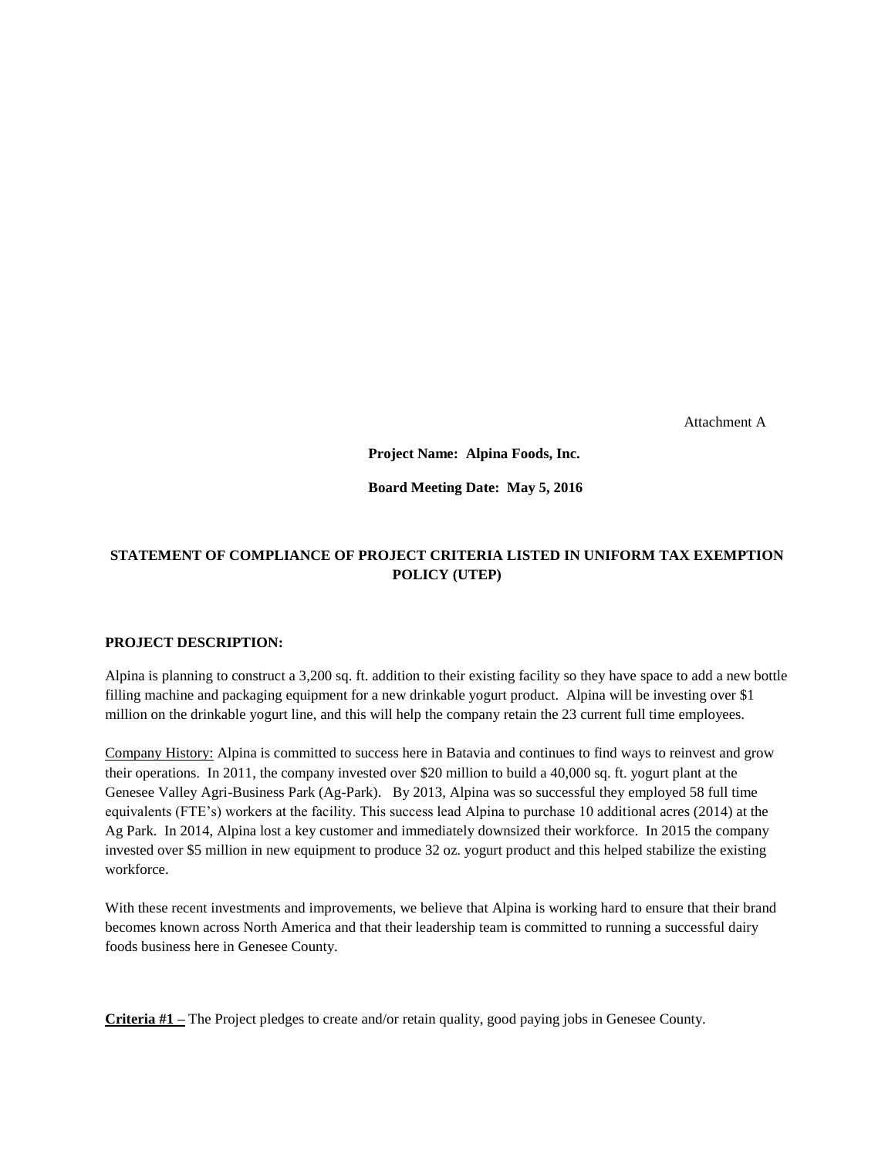Attachment A

**Project Name: Alpina Foods, Inc.**

**Board Meeting Date: May 5, 2016**

# **STATEMENT OF COMPLIANCE OF PROJECT CRITERIA LISTED IN UNIFORM TAX EXEMPTION POLICY (UTEP)**

# **PROJECT DESCRIPTION:**

Alpina is planning to construct a 3,200 sq. ft. addition to their existing facility so they have space to add a new bottle filling machine and packaging equipment for a new drinkable yogurt product. Alpina will be investing over \$1 million on the drinkable yogurt line, and this will help the company retain the 23 current full time employees.

Company History: Alpina is committed to success here in Batavia and continues to find ways to reinvest and grow their operations. In 2011, the company invested over \$20 million to build a 40,000 sq. ft. yogurt plant at the Genesee Valley Agri-Business Park (Ag-Park). By 2013, Alpina was so successful they employed 58 full time equivalents (FTE's) workers at the facility. This success lead Alpina to purchase 10 additional acres (2014) at the Ag Park. In 2014, Alpina lost a key customer and immediately downsized their workforce. In 2015 the company invested over \$5 million in new equipment to produce 32 oz. yogurt product and this helped stabilize the existing workforce.

With these recent investments and improvements, we believe that Alpina is working hard to ensure that their brand becomes known across North America and that their leadership team is committed to running a successful dairy foods business here in Genesee County.

**Criteria #1 –** The Project pledges to create and/or retain quality, good paying jobs in Genesee County.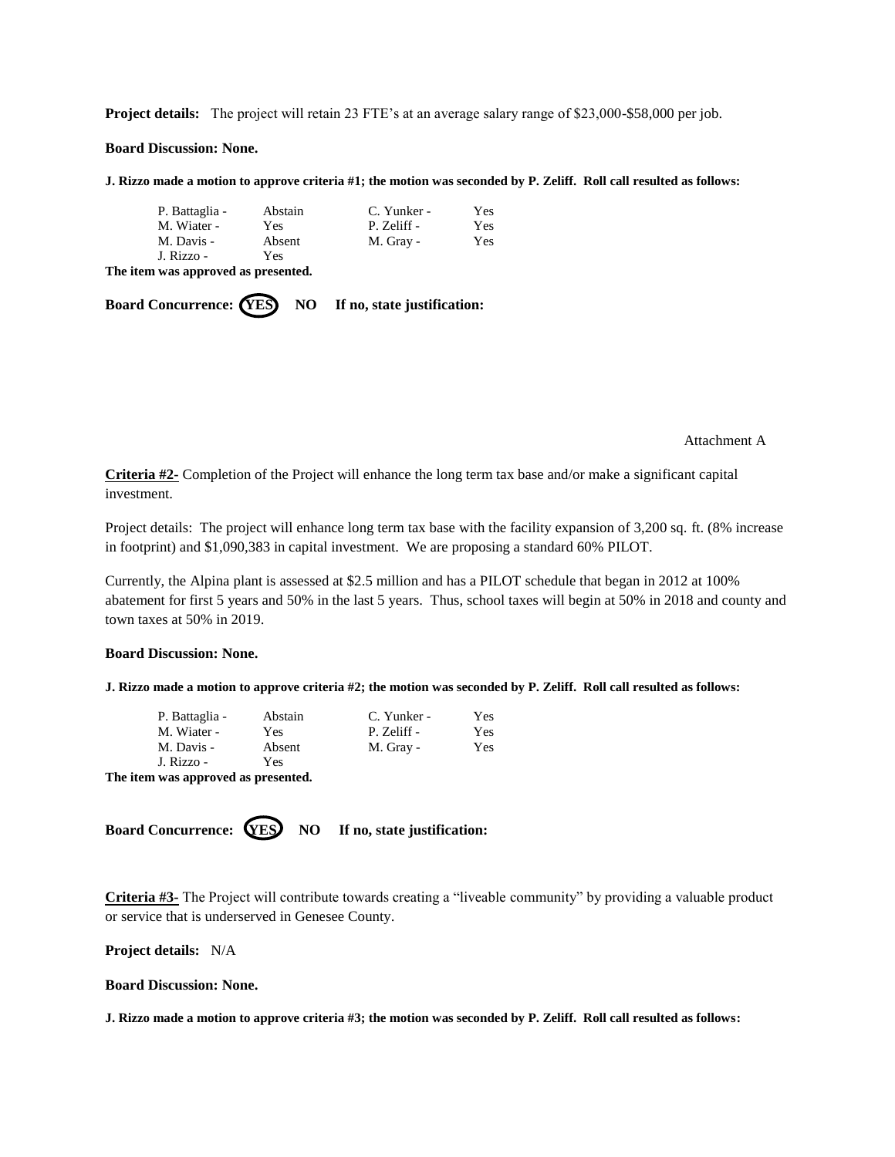**Project details:** The project will retain 23 FTE's at an average salary range of \$23,000-\$58,000 per job.

**Board Discussion: None.**

**J. Rizzo made a motion to approve criteria #1; the motion was seconded by P. Zeliff. Roll call resulted as follows:**

| P. Battaglia - | Abstain | C. Yunker - | Yes |
|----------------|---------|-------------|-----|
| M. Wiater -    | Yes     | P. Zeliff - | Yes |
| M. Davis -     | Absent  | M. Gray -   | Yes |
| J. Rizzo -     | Yes     |             |     |

**The item was approved as presented.**

**Board Concurrence: (YES)** NO If no, state justification:

Attachment A

**Criteria #2-** Completion of the Project will enhance the long term tax base and/or make a significant capital investment.

Project details: The project will enhance long term tax base with the facility expansion of 3,200 sq. ft. (8% increase in footprint) and \$1,090,383 in capital investment. We are proposing a standard 60% PILOT.

Currently, the Alpina plant is assessed at \$2.5 million and has a PILOT schedule that began in 2012 at 100% abatement for first 5 years and 50% in the last 5 years. Thus, school taxes will begin at 50% in 2018 and county and town taxes at 50% in 2019.

## **Board Discussion: None.**

**J. Rizzo made a motion to approve criteria #2; the motion was seconded by P. Zeliff. Roll call resulted as follows:**

| P. Battaglia -                     | Abstain | C. Yunker - | Yes |
|------------------------------------|---------|-------------|-----|
| M. Wiater -                        | Yes.    | P. Zeliff - | Yes |
| M. Davis -                         | Absent  | M. Gray -   | Yes |
| J. Rizzo -                         | Yes     |             |     |
| The item was annreved as presented |         |             |     |

**The item was approved as presented.**

**Board Concurrence: YES** NO If no, state justification:

**Criteria #3-** The Project will contribute towards creating a "liveable community" by providing a valuable product or service that is underserved in Genesee County.

**Project details:** N/A

**Board Discussion: None.**

**J. Rizzo made a motion to approve criteria #3; the motion was seconded by P. Zeliff. Roll call resulted as follows:**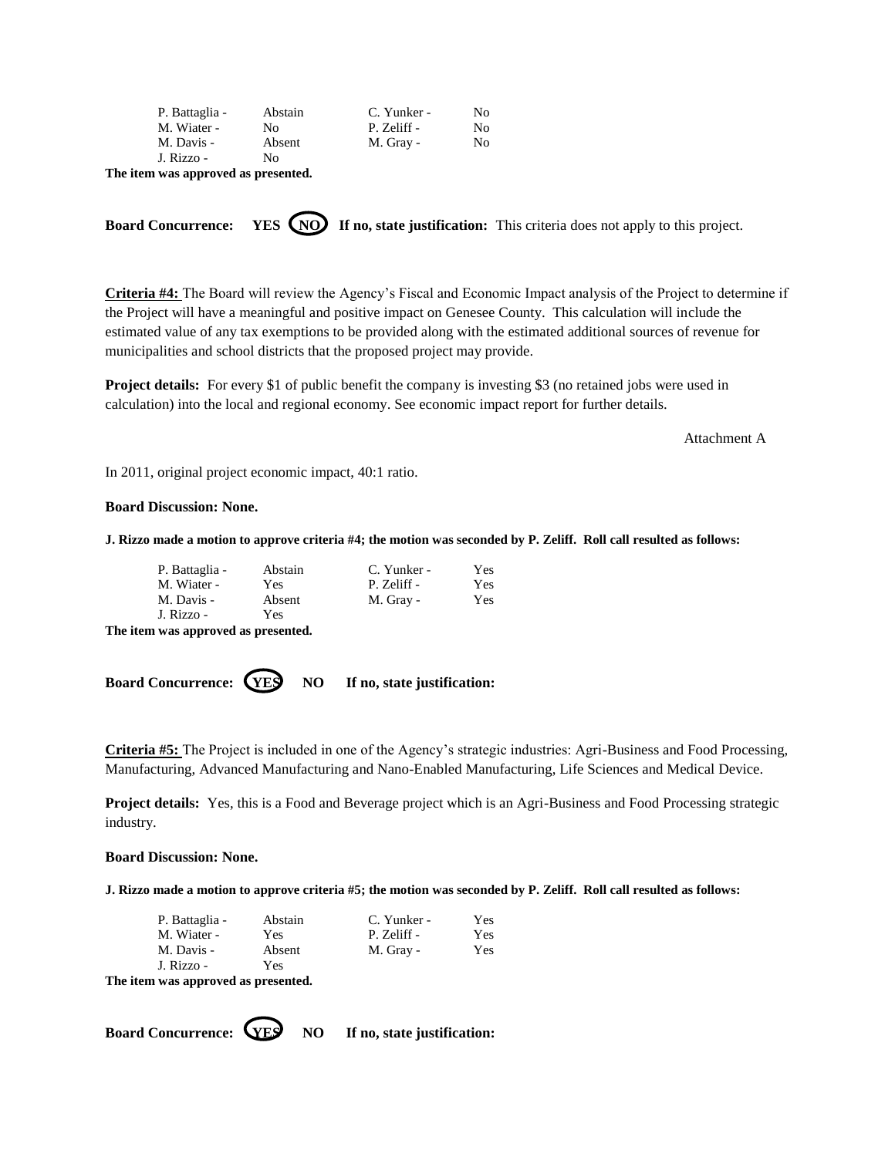| P. Battaglia - | Abstain | C. Yunker - | No  |
|----------------|---------|-------------|-----|
| M. Wiater -    | No      | P. Zeliff - | No. |
| M. Davis -     | Absent  | M. Gray -   | No  |
| J. Rizzo -     | Nο      |             |     |

**The item was approved as presented.**

**Board Concurrence:** YES (NO) If no, state justification: This criteria does not apply to this project.

**Criteria #4:** The Board will review the Agency's Fiscal and Economic Impact analysis of the Project to determine if the Project will have a meaningful and positive impact on Genesee County. This calculation will include the estimated value of any tax exemptions to be provided along with the estimated additional sources of revenue for municipalities and school districts that the proposed project may provide.

**Project details:** For every \$1 of public benefit the company is investing \$3 (no retained jobs were used in calculation) into the local and regional economy. See economic impact report for further details.

Attachment A

In 2011, original project economic impact, 40:1 ratio.

## **Board Discussion: None.**

**J. Rizzo made a motion to approve criteria #4; the motion was seconded by P. Zeliff. Roll call resulted as follows:**

| P. Battaglia - | Abstain | C. Yunker - | Yes |
|----------------|---------|-------------|-----|
| M. Wiater -    | Yes.    | P. Zeliff - | Yes |
| M. Davis -     | Absent  | M. Gray -   | Yes |
| J. Rizzo -     | Yes     |             |     |

**The item was approved as presented.**

**Board Concurrence:**  $(YES)$  NO If no, state justification:

**Criteria #5:** The Project is included in one of the Agency's strategic industries: Agri-Business and Food Processing, Manufacturing, Advanced Manufacturing and Nano-Enabled Manufacturing, Life Sciences and Medical Device.

**Project details:** Yes, this is a Food and Beverage project which is an Agri-Business and Food Processing strategic industry.

#### **Board Discussion: None.**

**J. Rizzo made a motion to approve criteria #5; the motion was seconded by P. Zeliff. Roll call resulted as follows:**

| P. Battaglia -                                        | Abstain | C. Yunker - | Yes. |
|-------------------------------------------------------|---------|-------------|------|
| M. Wiater -                                           | Yes     | P. Zeliff - | Yes  |
| M. Davis -                                            | Absent  | M. Gray -   | Yes  |
| J. Rizzo -                                            | Yes     |             |      |
| The field case such as a contract of the composition. |         |             |      |

**The item was approved as presented.**